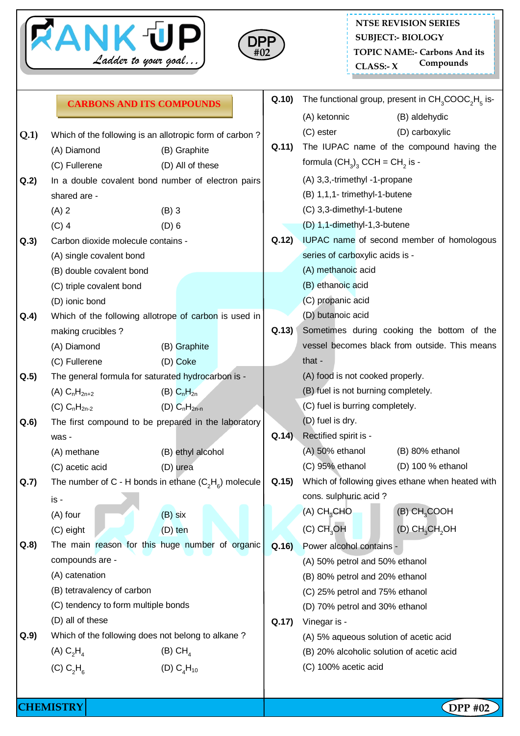



## **Q.1)** Which of the following is an allotropic form of carbon ? (A) Diamond (B) Graphite (C) Fullerene (D) All of these **Q.2)** In a double covalent bond number of electron pairs shared are -  $(A) 2$  (B) 3 (C) 4 (D) 6 **Q.3)** Carbon dioxide molecule contains - (A) single covalent bond (B) double covalent bond (C) triple covalent bond (D) ionic bond **Q.4)** Which of the following allotrope of carbon is used in making crucibles ? (A) Diamond (B) Graphite (C) Fullerene (D) Coke **Q.5)** The general formula for saturated hydrocarbon is - (A)  $C_nH_{2n+2}$  (B)  $C_nH_{2n}$ (C)  $C_nH_{2n-2}$  (D)  $C_nH_{2n-n}$ **Q.6)** The first compound to be prepared in the laboratory was - (A) methane (B) ethyl alcohol (C) acetic acid (D) urea **Q.7)** The number of C - H bonds in ethane  $(C_2H_6)$  molecule is -  $(A)$  four  $(B)$  six (C) eight (D) ten **Q.8)** The main reason for this huge number of organic compounds are - (A) catenation (B) tetravalency of carbon (C) tendency to form multiple bonds (D) all of these **Q.9)** Which of the following does not belong to alkane ?  $(A)$  C<sub>2</sub>H<sub>4</sub>  $(B)$  CH<sub>4</sub> (C)  $C_2H_6$ (D)  $C_4H_{10}$ **Q.10)** The functional group, present in  $CH_3COOC<sub>2</sub>H<sub>5</sub>$  is-(A) ketonnic (B) aldehydic (C) ester (D) carboxylic **Q.11)** The IUPAC name of the compound having the formula  ${\sf (CH}_3)_3^{\sf}$  CCH = CH $_2^{\sf}$  is -(A) 3,3,-trimethyl -1-propane (B) 1,1,1- trimethyl-1-butene (C) 3,3-dimethyl-1-butene (D) 1,1-dimethyl-1,3-butene **Q.12)** IUPAC name of second member of homologous series of carboxylic acids is - (A) methanoic acid (B) ethanoic acid (C) propanic acid (D) butanoic acid **Q.13)** Sometimes during cooking the bottom of the vessel becomes black from outside. This means that - (A) food is not cooked properly. (B) fuel is not burning completely. (C) fuel is burring completely. (D) fuel is dry. **Q.14)** Rectified spirit is - (A) 50% ethanol (B) 80% ethanol (C) 95% ethanol (D) 100 % ethanol **Q.15)** Which of following gives ethane when heated with cons. sulphuric acid ? (A) CH3CHO (B) CH3COOH  $(C)$  CH<sub>3</sub>OH (D) CH<sub>3</sub>CH<sub>2</sub>OH **Q.16)** Power alcohol contains - (A) 50% petrol and 50% ethanol (B) 80% petrol and 20% ethanol (C) 25% petrol and 75% ethanol (D) 70% petrol and 30% ethanol **Q.17)** Vinegar is - (A) 5% aqueous solution of acetic acid (B) 20% alcoholic solution of acetic acid (C) 100% acetic acid **CARBONS AND ITS COMPOUNDS**

**CHEMISTRY DPP #02**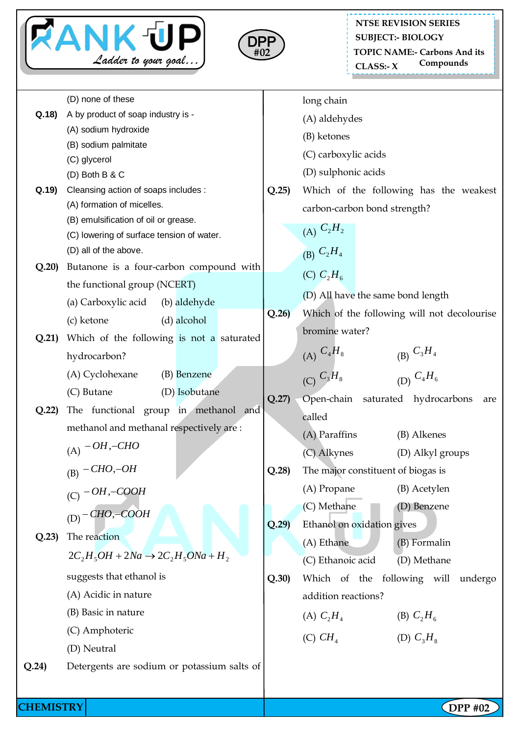



## \_\_\_\_\_\_\_\_\_\_\_\_\_\_\_\_\_\_\_\_\_\_\_ **NTSE REVISION SERIES SUBJECT:- BIOLOGY TOPIC NAME:- Carbons And its Compounds CLASS:- X**

|           | (D) none of these                              |       | long chain                                   |
|-----------|------------------------------------------------|-------|----------------------------------------------|
| Q.18)     | A by product of soap industry is -             |       | (A) aldehydes                                |
|           | (A) sodium hydroxide                           |       | (B) ketones                                  |
|           | (B) sodium palmitate<br>(C) glycerol           |       | (C) carboxylic acids                         |
|           | (D) Both B & C                                 |       | (D) sulphonic acids                          |
| Q.19      | Cleansing action of soaps includes :           | Q.25  | Which of the following has the weakest       |
|           | (A) formation of micelles.                     |       | carbon-carbon bond strength?                 |
|           | (B) emulsification of oil or grease.           |       |                                              |
|           | (C) lowering of surface tension of water.      |       | (A) $C_2H_2$                                 |
|           | (D) all of the above.                          |       | (B) $C_2H_4$                                 |
| Q.20      | Butanone is a four-carbon compound with        |       | (C) $C_2H_6$                                 |
|           | the functional group (NCERT)                   |       |                                              |
|           | (a) Carboxylic acid<br>(b) aldehyde            |       | (D) All have the same bond length            |
|           | (d) alcohol<br>(c) ketone                      | Q.26  | Which of the following will not decolourise  |
| Q.21)     | Which of the following is not a saturated      |       | bromine water?                               |
|           | hydrocarbon?                                   |       | (A) $C_4H_8$                                 |
|           | (A) Cyclohexane<br>(B) Benzene                 |       | (B) $C_3H_4$<br>(D) $C_4H_6$<br>(C) $C_3H_8$ |
|           | (C) Butane<br>(D) Isobutane                    |       |                                              |
| Q.22      | The functional group in methanol and           | Q.27  | Open-chain saturated hydrocarbons<br>are     |
|           | methanol and methanal respectively are:        |       | called                                       |
|           |                                                |       | (A) Paraffins<br>(B) Alkenes                 |
|           | (A) $-OH$ ,-CHO                                |       | (C) Alkynes<br>(D) Alkyl groups              |
|           | $(B)$ - CHO,-OH                                | Q.28  | The major constituent of biogas is           |
|           | $(C)$ -OH,-COOH                                |       | (A) Propane<br>(B) Acetylen                  |
|           | $(D)$ - CHO, - COOH                            |       | (C) Methane<br>(D) Benzene                   |
|           |                                                | Q.29  | Ethanol on oxidation gives                   |
| Q.23      | The reaction                                   |       | (A) Ethane<br>(B) Formalin                   |
|           | $2C_2H_5OH + 2Na \rightarrow 2C_2H_5ONa + H_2$ |       | (C) Ethanoic acid<br>(D) Methane             |
|           | suggests that ethanol is                       | Q.30) | Which of the following will undergo          |
|           | (A) Acidic in nature                           |       | addition reactions?                          |
|           | (B) Basic in nature                            |       | (A) $C_2H_4$<br>(B) $C_2H_6$                 |
|           | (C) Amphoteric                                 |       |                                              |
|           | (D) Neutral                                    |       | (D) $C_3H_8$<br>(C) $CH4$                    |
| Q.24)     | Detergents are sodium or potassium salts of    |       |                                              |
|           |                                                |       |                                              |
|           |                                                |       |                                              |
| CHEMISTRY |                                                |       | $\Omega$ PP #02                              |